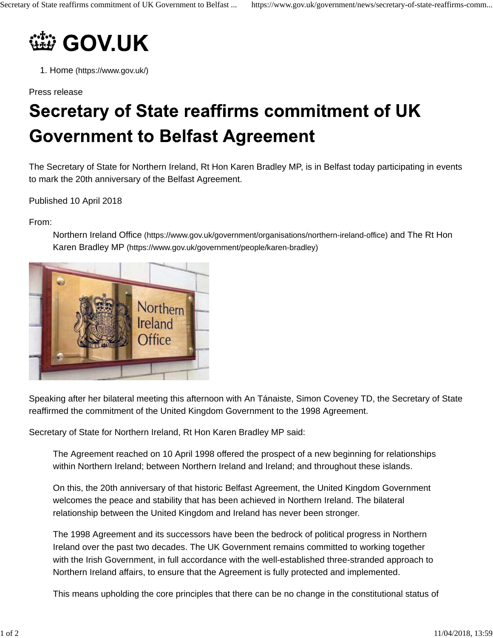

1. Home (https://www.gov.uk/)

Press release

## Secretary of State reaffirms commitment of UK **Government to Belfast Agreement**

The Secretary of State for Northern Ireland, Rt Hon Karen Bradley MP, is in Belfast today participating in events to mark the 20th anniversary of the Belfast Agreement.

Published 10 April 2018

From:



Northern Ireland Office (https://www.gov.uk/government/organisations/northern-ireland-office) and The Rt Hon Karen Bradley MP (https://www.gov.uk/government/people/karen-bradley)

Speaking after her bilateral meeting this afternoon with An Tánaiste, Simon Coveney TD, the Secretary of State reaffirmed the commitment of the United Kingdom Government to the 1998 Agreement.

Secretary of State for Northern Ireland, Rt Hon Karen Bradley MP said:

The Agreement reached on 10 April 1998 offered the prospect of a new beginning for relationships within Northern Ireland; between Northern Ireland and Ireland; and throughout these islands.

On this, the 20th anniversary of that historic Belfast Agreement, the United Kingdom Government welcomes the peace and stability that has been achieved in Northern Ireland. The bilateral relationship between the United Kingdom and Ireland has never been stronger.

The 1998 Agreement and its successors have been the bedrock of political progress in Northern Ireland over the past two decades. The UK Government remains committed to working together with the Irish Government, in full accordance with the well-established three-stranded approach to Northern Ireland affairs, to ensure that the Agreement is fully protected and implemented.

This means upholding the core principles that there can be no change in the constitutional status of